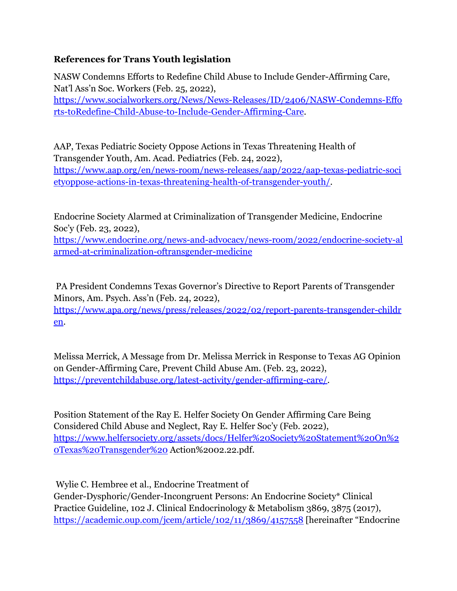## **References for Trans Youth legislation**

NASW Condemns Efforts to Redefine Child Abuse to Include Gender-Affirming Care, Nat'l Ass'n Soc. Workers (Feb. 25, 2022), [https://www.socialworkers.org/News/News-Releases/ID/2406/NASW-Condemns-Effo](https://nam12.safelinks.protection.outlook.com/?url=https%3A%2F%2Fwww.socialworkers.org%2FNews%2FNews-Releases%2FID%2F2406%2FNASW-Condemns-Efforts-toRedefine-Child-Abuse-to-Include-Gender-Affirming-Care&data=04%7C01%7C%7C4797d1dbf5bc4b5d07ab08d9fe2af8cc%7C84df9e7fe9f640afb435aaaaaaaaaaaa%7C1%7C0%7C637820282820390115%7CUnknown%7CTWFpbGZsb3d8eyJWIjoiMC4wLjAwMDAiLCJQIjoiV2luMzIiLCJBTiI6Ik1haWwiLCJXVCI6Mn0%3D%7C3000&sdata=vOqjPYQ9hHbw%2FgSIhUILCE1AWc58BpCqGFAco2Kbx1o%3D&reserved=0) [rts-toRedefine-Child-Abuse-to-Include-Gender-Affirming-Care](https://nam12.safelinks.protection.outlook.com/?url=https%3A%2F%2Fwww.socialworkers.org%2FNews%2FNews-Releases%2FID%2F2406%2FNASW-Condemns-Efforts-toRedefine-Child-Abuse-to-Include-Gender-Affirming-Care&data=04%7C01%7C%7C4797d1dbf5bc4b5d07ab08d9fe2af8cc%7C84df9e7fe9f640afb435aaaaaaaaaaaa%7C1%7C0%7C637820282820390115%7CUnknown%7CTWFpbGZsb3d8eyJWIjoiMC4wLjAwMDAiLCJQIjoiV2luMzIiLCJBTiI6Ik1haWwiLCJXVCI6Mn0%3D%7C3000&sdata=vOqjPYQ9hHbw%2FgSIhUILCE1AWc58BpCqGFAco2Kbx1o%3D&reserved=0).

AAP, Texas Pediatric Society Oppose Actions in Texas Threatening Health of Transgender Youth, Am. Acad. Pediatrics (Feb. 24, 2022), [https://www.aap.org/en/news-room/news-releases/aap/2022/aap-texas-pediatric-soci](https://nam12.safelinks.protection.outlook.com/?url=https%3A%2F%2Fwww.aap.org%2Fen%2Fnews-room%2Fnews-releases%2Faap%2F2022%2Faap-texas-pediatric-societyoppose-actions-in-texas-threatening-health-of-transgender-youth%2F&data=04%7C01%7C%7C4797d1dbf5bc4b5d07ab08d9fe2af8cc%7C84df9e7fe9f640afb435aaaaaaaaaaaa%7C1%7C0%7C637820282820390115%7CUnknown%7CTWFpbGZsb3d8eyJWIjoiMC4wLjAwMDAiLCJQIjoiV2luMzIiLCJBTiI6Ik1haWwiLCJXVCI6Mn0%3D%7C3000&sdata=c8tocA%2BATIXWuuj44Eb5OuhHFg8KaVF6mdR14jwZ2VU%3D&reserved=0) [etyoppose-actions-in-texas-threatening-health-of-transgender-youth/.](https://nam12.safelinks.protection.outlook.com/?url=https%3A%2F%2Fwww.aap.org%2Fen%2Fnews-room%2Fnews-releases%2Faap%2F2022%2Faap-texas-pediatric-societyoppose-actions-in-texas-threatening-health-of-transgender-youth%2F&data=04%7C01%7C%7C4797d1dbf5bc4b5d07ab08d9fe2af8cc%7C84df9e7fe9f640afb435aaaaaaaaaaaa%7C1%7C0%7C637820282820390115%7CUnknown%7CTWFpbGZsb3d8eyJWIjoiMC4wLjAwMDAiLCJQIjoiV2luMzIiLCJBTiI6Ik1haWwiLCJXVCI6Mn0%3D%7C3000&sdata=c8tocA%2BATIXWuuj44Eb5OuhHFg8KaVF6mdR14jwZ2VU%3D&reserved=0)

Endocrine Society Alarmed at Criminalization of Transgender Medicine, Endocrine Soc'y (Feb. 23, 2022),

[https://www.endocrine.org/news-and-advocacy/news-room/2022/endocrine-society-al](https://nam12.safelinks.protection.outlook.com/?url=https%3A%2F%2Fwww.endocrine.org%2Fnews-and-advocacy%2Fnews-room%2F2022%2Fendocrine-society-alarmed-at-criminalization-oftransgender-medicine&data=04%7C01%7C%7C4797d1dbf5bc4b5d07ab08d9fe2af8cc%7C84df9e7fe9f640afb435aaaaaaaaaaaa%7C1%7C0%7C637820282820390115%7CUnknown%7CTWFpbGZsb3d8eyJWIjoiMC4wLjAwMDAiLCJQIjoiV2luMzIiLCJBTiI6Ik1haWwiLCJXVCI6Mn0%3D%7C3000&sdata=foTl7yTGYpMHYUiGL%2B1%2FjdHAcmv0MhsWop%2FQPcltVyw%3D&reserved=0) [armed-at-criminalization-oftransgender-medicine](https://nam12.safelinks.protection.outlook.com/?url=https%3A%2F%2Fwww.endocrine.org%2Fnews-and-advocacy%2Fnews-room%2F2022%2Fendocrine-society-alarmed-at-criminalization-oftransgender-medicine&data=04%7C01%7C%7C4797d1dbf5bc4b5d07ab08d9fe2af8cc%7C84df9e7fe9f640afb435aaaaaaaaaaaa%7C1%7C0%7C637820282820390115%7CUnknown%7CTWFpbGZsb3d8eyJWIjoiMC4wLjAwMDAiLCJQIjoiV2luMzIiLCJBTiI6Ik1haWwiLCJXVCI6Mn0%3D%7C3000&sdata=foTl7yTGYpMHYUiGL%2B1%2FjdHAcmv0MhsWop%2FQPcltVyw%3D&reserved=0)

PA President Condemns Texas Governor's Directive to Report Parents of Transgender Minors, Am. Psych. Ass'n (Feb. 24, 2022), [https://www.apa.org/news/press/releases/2022/02/report-parents-transgender-childr](https://nam12.safelinks.protection.outlook.com/?url=https%3A%2F%2Fwww.apa.org%2Fnews%2Fpress%2Freleases%2F2022%2F02%2Freport-parents-transgender-children&data=04%7C01%7C%7C4797d1dbf5bc4b5d07ab08d9fe2af8cc%7C84df9e7fe9f640afb435aaaaaaaaaaaa%7C1%7C0%7C637820282820390115%7CUnknown%7CTWFpbGZsb3d8eyJWIjoiMC4wLjAwMDAiLCJQIjoiV2luMzIiLCJBTiI6Ik1haWwiLCJXVCI6Mn0%3D%7C3000&sdata=hXeFvujXR6vXsMFMX8Z%2FH1IHtRIp4UR8Qttpnz24qQA%3D&reserved=0) [en.](https://nam12.safelinks.protection.outlook.com/?url=https%3A%2F%2Fwww.apa.org%2Fnews%2Fpress%2Freleases%2F2022%2F02%2Freport-parents-transgender-children&data=04%7C01%7C%7C4797d1dbf5bc4b5d07ab08d9fe2af8cc%7C84df9e7fe9f640afb435aaaaaaaaaaaa%7C1%7C0%7C637820282820390115%7CUnknown%7CTWFpbGZsb3d8eyJWIjoiMC4wLjAwMDAiLCJQIjoiV2luMzIiLCJBTiI6Ik1haWwiLCJXVCI6Mn0%3D%7C3000&sdata=hXeFvujXR6vXsMFMX8Z%2FH1IHtRIp4UR8Qttpnz24qQA%3D&reserved=0)

Melissa Merrick, A Message from Dr. Melissa Merrick in Response to Texas AG Opinion on Gender-Affirming Care, Prevent Child Abuse Am. (Feb. 23, 2022), [https://preventchildabuse.org/latest-activity/gender-affirming-care/.](https://nam12.safelinks.protection.outlook.com/?url=https%3A%2F%2Fpreventchildabuse.org%2Flatest-activity%2Fgender-affirming-care%2F&data=04%7C01%7C%7C4797d1dbf5bc4b5d07ab08d9fe2af8cc%7C84df9e7fe9f640afb435aaaaaaaaaaaa%7C1%7C0%7C637820282820390115%7CUnknown%7CTWFpbGZsb3d8eyJWIjoiMC4wLjAwMDAiLCJQIjoiV2luMzIiLCJBTiI6Ik1haWwiLCJXVCI6Mn0%3D%7C3000&sdata=%2FbDFJqm8Q3%2FY1SLDxhjKGwnM0IGXCPniV%2BkK5FmQJcY%3D&reserved=0)

Position Statement of the Ray E. Helfer Society On Gender Affirming Care Being Considered Child Abuse and Neglect, Ray E. Helfer Soc'y (Feb. 2022), [https://www.helfersociety.org/assets/docs/Helfer%20Society%20Statement%20On%2](https://nam12.safelinks.protection.outlook.com/?url=https%3A%2F%2Fwww.helfersociety.org%2Fassets%2Fdocs%2FHelfer%2520Society%2520Statement%2520On%2520Texas%2520Transgender%2520&data=04%7C01%7C%7C4797d1dbf5bc4b5d07ab08d9fe2af8cc%7C84df9e7fe9f640afb435aaaaaaaaaaaa%7C1%7C0%7C637820282820390115%7CUnknown%7CTWFpbGZsb3d8eyJWIjoiMC4wLjAwMDAiLCJQIjoiV2luMzIiLCJBTiI6Ik1haWwiLCJXVCI6Mn0%3D%7C3000&sdata=PVIi4d%2B6lTCaxKc%2Fh%2ByX6izLJOIibgW1tXwe4PoYYTc%3D&reserved=0) [0Texas%20Transgender%20](https://nam12.safelinks.protection.outlook.com/?url=https%3A%2F%2Fwww.helfersociety.org%2Fassets%2Fdocs%2FHelfer%2520Society%2520Statement%2520On%2520Texas%2520Transgender%2520&data=04%7C01%7C%7C4797d1dbf5bc4b5d07ab08d9fe2af8cc%7C84df9e7fe9f640afb435aaaaaaaaaaaa%7C1%7C0%7C637820282820390115%7CUnknown%7CTWFpbGZsb3d8eyJWIjoiMC4wLjAwMDAiLCJQIjoiV2luMzIiLCJBTiI6Ik1haWwiLCJXVCI6Mn0%3D%7C3000&sdata=PVIi4d%2B6lTCaxKc%2Fh%2ByX6izLJOIibgW1tXwe4PoYYTc%3D&reserved=0) Action%2002.22.pdf.

Wylie C. Hembree et al., Endocrine Treatment of Gender-Dysphoric/Gender-Incongruent Persons: An Endocrine Society\* Clinical Practice Guideline, 102 J. Clinical Endocrinology & Metabolism 3869, 3875 (2017), [https://academic.oup.com/jcem/article/102/11/3869/4157558](https://nam12.safelinks.protection.outlook.com/?url=https%3A%2F%2Facademic.oup.com%2Fjcem%2Farticle%2F102%2F11%2F3869%2F4157558&data=04%7C01%7C%7C4797d1dbf5bc4b5d07ab08d9fe2af8cc%7C84df9e7fe9f640afb435aaaaaaaaaaaa%7C1%7C0%7C637820282820390115%7CUnknown%7CTWFpbGZsb3d8eyJWIjoiMC4wLjAwMDAiLCJQIjoiV2luMzIiLCJBTiI6Ik1haWwiLCJXVCI6Mn0%3D%7C3000&sdata=n9Ilm9IqcBxhHxipluRAwOZ8q%2FqNxCYPB7XbHbzOKm8%3D&reserved=0) [hereinafter "Endocrine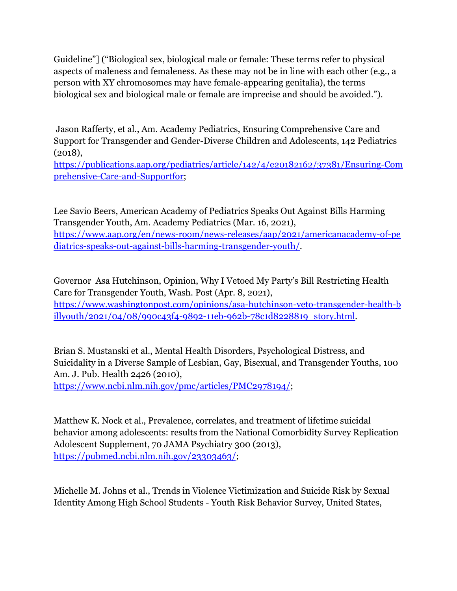Guideline"] ("Biological sex, biological male or female: These terms refer to physical aspects of maleness and femaleness. As these may not be in line with each other (e.g., a person with XY chromosomes may have female-appearing genitalia), the terms biological sex and biological male or female are imprecise and should be avoided.").

Jason Rafferty, et al., Am. Academy Pediatrics, Ensuring Comprehensive Care and Support for Transgender and Gender-Diverse Children and Adolescents, 142 Pediatrics (2018),

[https://publications.aap.org/pediatrics/article/142/4/e20182162/37381/Ensuring-Com](https://nam12.safelinks.protection.outlook.com/?url=https%3A%2F%2Fpublications.aap.org%2Fpediatrics%2Farticle%2F142%2F4%2Fe20182162%2F37381%2FEnsuring-Comprehensive-Care-and-Supportfor&data=04%7C01%7C%7C4797d1dbf5bc4b5d07ab08d9fe2af8cc%7C84df9e7fe9f640afb435aaaaaaaaaaaa%7C1%7C0%7C637820282820390115%7CUnknown%7CTWFpbGZsb3d8eyJWIjoiMC4wLjAwMDAiLCJQIjoiV2luMzIiLCJBTiI6Ik1haWwiLCJXVCI6Mn0%3D%7C3000&sdata=Gh%2B8B%2F8zh9Q4z80AucEbHo8QdwcZy0E1zlPEzd4lKU8%3D&reserved=0) [prehensive-Care-and-Supportfor](https://nam12.safelinks.protection.outlook.com/?url=https%3A%2F%2Fpublications.aap.org%2Fpediatrics%2Farticle%2F142%2F4%2Fe20182162%2F37381%2FEnsuring-Comprehensive-Care-and-Supportfor&data=04%7C01%7C%7C4797d1dbf5bc4b5d07ab08d9fe2af8cc%7C84df9e7fe9f640afb435aaaaaaaaaaaa%7C1%7C0%7C637820282820390115%7CUnknown%7CTWFpbGZsb3d8eyJWIjoiMC4wLjAwMDAiLCJQIjoiV2luMzIiLCJBTiI6Ik1haWwiLCJXVCI6Mn0%3D%7C3000&sdata=Gh%2B8B%2F8zh9Q4z80AucEbHo8QdwcZy0E1zlPEzd4lKU8%3D&reserved=0);

Lee Savio Beers, American Academy of Pediatrics Speaks Out Against Bills Harming Transgender Youth, Am. Academy Pediatrics (Mar. 16, 2021), [https://www.aap.org/en/news-room/news-releases/aap/2021/americanacademy-of-pe](https://nam12.safelinks.protection.outlook.com/?url=https%3A%2F%2Fwww.aap.org%2Fen%2Fnews-room%2Fnews-releases%2Faap%2F2021%2Famericanacademy-of-pediatrics-speaks-out-against-bills-harming-transgender-youth%2F&data=04%7C01%7C%7C4797d1dbf5bc4b5d07ab08d9fe2af8cc%7C84df9e7fe9f640afb435aaaaaaaaaaaa%7C1%7C0%7C637820282820390115%7CUnknown%7CTWFpbGZsb3d8eyJWIjoiMC4wLjAwMDAiLCJQIjoiV2luMzIiLCJBTiI6Ik1haWwiLCJXVCI6Mn0%3D%7C3000&sdata=btvnoE2mOeDpJ1Wi8947IuOYUVnFN2aFHNOLFxFXeDQ%3D&reserved=0) [diatrics-speaks-out-against-bills-harming-transgender-youth/.](https://nam12.safelinks.protection.outlook.com/?url=https%3A%2F%2Fwww.aap.org%2Fen%2Fnews-room%2Fnews-releases%2Faap%2F2021%2Famericanacademy-of-pediatrics-speaks-out-against-bills-harming-transgender-youth%2F&data=04%7C01%7C%7C4797d1dbf5bc4b5d07ab08d9fe2af8cc%7C84df9e7fe9f640afb435aaaaaaaaaaaa%7C1%7C0%7C637820282820390115%7CUnknown%7CTWFpbGZsb3d8eyJWIjoiMC4wLjAwMDAiLCJQIjoiV2luMzIiLCJBTiI6Ik1haWwiLCJXVCI6Mn0%3D%7C3000&sdata=btvnoE2mOeDpJ1Wi8947IuOYUVnFN2aFHNOLFxFXeDQ%3D&reserved=0)

Governor Asa Hutchinson, Opinion, Why I Vetoed My Party's Bill Restricting Health Care for Transgender Youth, Wash. Post (Apr. 8, 2021), [https://www.washingtonpost.com/opinions/asa-hutchinson-veto-transgender-health-b](https://nam12.safelinks.protection.outlook.com/?url=https%3A%2F%2Fwww.washingtonpost.com%2Fopinions%2Fasa-hutchinson-veto-transgender-health-billyouth%2F2021%2F04%2F08%2F990c43f4-9892-11eb-962b-78c1d8228819_story.html&data=04%7C01%7C%7C4797d1dbf5bc4b5d07ab08d9fe2af8cc%7C84df9e7fe9f640afb435aaaaaaaaaaaa%7C1%7C0%7C637820282820390115%7CUnknown%7CTWFpbGZsb3d8eyJWIjoiMC4wLjAwMDAiLCJQIjoiV2luMzIiLCJBTiI6Ik1haWwiLCJXVCI6Mn0%3D%7C3000&sdata=FVPnA2UF8RIXeOwpcL5RzMMmbau86jP8agkkifC4jiw%3D&reserved=0) [illyouth/2021/04/08/990c43f4-9892-11eb-962b-78c1d8228819\\_story.html.](https://nam12.safelinks.protection.outlook.com/?url=https%3A%2F%2Fwww.washingtonpost.com%2Fopinions%2Fasa-hutchinson-veto-transgender-health-billyouth%2F2021%2F04%2F08%2F990c43f4-9892-11eb-962b-78c1d8228819_story.html&data=04%7C01%7C%7C4797d1dbf5bc4b5d07ab08d9fe2af8cc%7C84df9e7fe9f640afb435aaaaaaaaaaaa%7C1%7C0%7C637820282820390115%7CUnknown%7CTWFpbGZsb3d8eyJWIjoiMC4wLjAwMDAiLCJQIjoiV2luMzIiLCJBTiI6Ik1haWwiLCJXVCI6Mn0%3D%7C3000&sdata=FVPnA2UF8RIXeOwpcL5RzMMmbau86jP8agkkifC4jiw%3D&reserved=0)

Brian S. Mustanski et al., Mental Health Disorders, Psychological Distress, and Suicidality in a Diverse Sample of Lesbian, Gay, Bisexual, and Transgender Youths, 100 Am. J. Pub. Health 2426 (2010),

[https://www.ncbi.nlm.nih.gov/pmc/articles/PMC2978194/](https://nam12.safelinks.protection.outlook.com/?url=https%3A%2F%2Fwww.ncbi.nlm.nih.gov%2Fpmc%2Farticles%2FPMC2978194%2F&data=04%7C01%7C%7C4797d1dbf5bc4b5d07ab08d9fe2af8cc%7C84df9e7fe9f640afb435aaaaaaaaaaaa%7C1%7C0%7C637820282820390115%7CUnknown%7CTWFpbGZsb3d8eyJWIjoiMC4wLjAwMDAiLCJQIjoiV2luMzIiLCJBTiI6Ik1haWwiLCJXVCI6Mn0%3D%7C3000&sdata=FHyfQrb4QGcptZB05jMHwT5nmpYVcTwegWylPYvF%2FlE%3D&reserved=0);

Matthew K. Nock et al., Prevalence, correlates, and treatment of lifetime suicidal behavior among adolescents: results from the National Comorbidity Survey Replication Adolescent Supplement, 70 JAMA Psychiatry 300 (2013), [https://pubmed.ncbi.nlm.nih.gov/23303463/](https://nam12.safelinks.protection.outlook.com/?url=https%3A%2F%2Fpubmed.ncbi.nlm.nih.gov%2F23303463%2F&data=04%7C01%7C%7C4797d1dbf5bc4b5d07ab08d9fe2af8cc%7C84df9e7fe9f640afb435aaaaaaaaaaaa%7C1%7C0%7C637820282820390115%7CUnknown%7CTWFpbGZsb3d8eyJWIjoiMC4wLjAwMDAiLCJQIjoiV2luMzIiLCJBTiI6Ik1haWwiLCJXVCI6Mn0%3D%7C3000&sdata=TiRbI73vHIFam31Fy8uSlbR%2B25ndtxCXr%2FZKChORPW4%3D&reserved=0);

Michelle M. Johns et al., Trends in Violence Victimization and Suicide Risk by Sexual Identity Among High School Students - Youth Risk Behavior Survey, United States,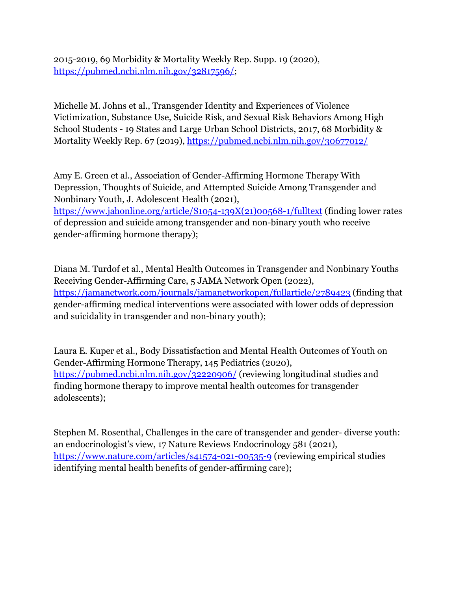2015-2019, 69 Morbidity & Mortality Weekly Rep. Supp. 19 (2020), [https://pubmed.ncbi.nlm.nih.gov/32817596/;](https://nam12.safelinks.protection.outlook.com/?url=https%3A%2F%2Fpubmed.ncbi.nlm.nih.gov%2F32817596%2F&data=04%7C01%7C%7C4797d1dbf5bc4b5d07ab08d9fe2af8cc%7C84df9e7fe9f640afb435aaaaaaaaaaaa%7C1%7C0%7C637820282820390115%7CUnknown%7CTWFpbGZsb3d8eyJWIjoiMC4wLjAwMDAiLCJQIjoiV2luMzIiLCJBTiI6Ik1haWwiLCJXVCI6Mn0%3D%7C3000&sdata=QAORz8Jded0EqVqR5xVrevm%2FfwINLpan2T9QCyw1DbY%3D&reserved=0)

Michelle M. Johns et al., Transgender Identity and Experiences of Violence Victimization, Substance Use, Suicide Risk, and Sexual Risk Behaviors Among High School Students - 19 States and Large Urban School Districts, 2017, 68 Morbidity & Mortality Weekly Rep. 67 (2019), [https://pubmed.ncbi.nlm.nih.gov/30677012/](https://nam12.safelinks.protection.outlook.com/?url=https%3A%2F%2Fpubmed.ncbi.nlm.nih.gov%2F30677012%2F&data=04%7C01%7C%7C4797d1dbf5bc4b5d07ab08d9fe2af8cc%7C84df9e7fe9f640afb435aaaaaaaaaaaa%7C1%7C0%7C637820282820390115%7CUnknown%7CTWFpbGZsb3d8eyJWIjoiMC4wLjAwMDAiLCJQIjoiV2luMzIiLCJBTiI6Ik1haWwiLCJXVCI6Mn0%3D%7C3000&sdata=hV77VOoyt8dZwPFApZKeO%2BqP%2Fv1BTpFnaoV0sc3VUnA%3D&reserved=0)

Amy E. Green et al., Association of Gender-Affirming Hormone Therapy With Depression, Thoughts of Suicide, and Attempted Suicide Among Transgender and Nonbinary Youth, J. Adolescent Health (2021),

[https://www.jahonline.org/article/S1054-139X\(21\)00568-1/fulltext](https://nam12.safelinks.protection.outlook.com/?url=https%3A%2F%2Fwww.jahonline.org%2Farticle%2FS1054-139X(21)00568-1%2Ffulltext&data=04%7C01%7C%7C4797d1dbf5bc4b5d07ab08d9fe2af8cc%7C84df9e7fe9f640afb435aaaaaaaaaaaa%7C1%7C0%7C637820282820390115%7CUnknown%7CTWFpbGZsb3d8eyJWIjoiMC4wLjAwMDAiLCJQIjoiV2luMzIiLCJBTiI6Ik1haWwiLCJXVCI6Mn0%3D%7C3000&sdata=J9GuDn%2F5gKjq9tHR%2FcJwtvZJzUvIh5JIa8lCTTAiXS0%3D&reserved=0) (finding lower rates of depression and suicide among transgender and non-binary youth who receive gender-affirming hormone therapy);

Diana M. Turdof et al., Mental Health Outcomes in Transgender and Nonbinary Youths Receiving Gender-Affirming Care, 5 JAMA Network Open (2022), [https://jamanetwork.com/journals/jamanetworkopen/fullarticle/2789423](https://nam12.safelinks.protection.outlook.com/?url=https%3A%2F%2Fjamanetwork.com%2Fjournals%2Fjamanetworkopen%2Ffullarticle%2F2789423&data=04%7C01%7C%7C4797d1dbf5bc4b5d07ab08d9fe2af8cc%7C84df9e7fe9f640afb435aaaaaaaaaaaa%7C1%7C0%7C637820282820390115%7CUnknown%7CTWFpbGZsb3d8eyJWIjoiMC4wLjAwMDAiLCJQIjoiV2luMzIiLCJBTiI6Ik1haWwiLCJXVCI6Mn0%3D%7C3000&sdata=oPIstk2JB9yHAAhy%2FwcQQnV27Dj9RH1uYJXdeD1UOGE%3D&reserved=0) (finding that gender-affirming medical interventions were associated with lower odds of depression and suicidality in transgender and non-binary youth);

Laura E. Kuper et al., Body Dissatisfaction and Mental Health Outcomes of Youth on Gender-Affirming Hormone Therapy, 145 Pediatrics (2020), [https://pubmed.ncbi.nlm.nih.gov/32220906/](https://nam12.safelinks.protection.outlook.com/?url=https%3A%2F%2Fpubmed.ncbi.nlm.nih.gov%2F32220906%2F&data=04%7C01%7C%7C4797d1dbf5bc4b5d07ab08d9fe2af8cc%7C84df9e7fe9f640afb435aaaaaaaaaaaa%7C1%7C0%7C637820282820390115%7CUnknown%7CTWFpbGZsb3d8eyJWIjoiMC4wLjAwMDAiLCJQIjoiV2luMzIiLCJBTiI6Ik1haWwiLCJXVCI6Mn0%3D%7C3000&sdata=q8lQPxZElHvM9y9DKMBjPse6xk1WdbIHCXX2uQMq1qU%3D&reserved=0) (reviewing longitudinal studies and finding hormone therapy to improve mental health outcomes for transgender adolescents);

Stephen M. Rosenthal, Challenges in the care of transgender and gender- diverse youth: an endocrinologist's view, 17 Nature Reviews Endocrinology 581 (2021), [https://www.nature.com/articles/s41574-021-00535-9](https://nam12.safelinks.protection.outlook.com/?url=https%3A%2F%2Fwww.nature.com%2Farticles%2Fs41574-021-00535-9&data=04%7C01%7C%7C4797d1dbf5bc4b5d07ab08d9fe2af8cc%7C84df9e7fe9f640afb435aaaaaaaaaaaa%7C1%7C0%7C637820282820390115%7CUnknown%7CTWFpbGZsb3d8eyJWIjoiMC4wLjAwMDAiLCJQIjoiV2luMzIiLCJBTiI6Ik1haWwiLCJXVCI6Mn0%3D%7C3000&sdata=O2K3gYc2KzfvuV%2FIuv8fQxDEGkTwKDZEZs7aqAp%2FV60%3D&reserved=0) (reviewing empirical studies identifying mental health benefits of gender-affirming care);